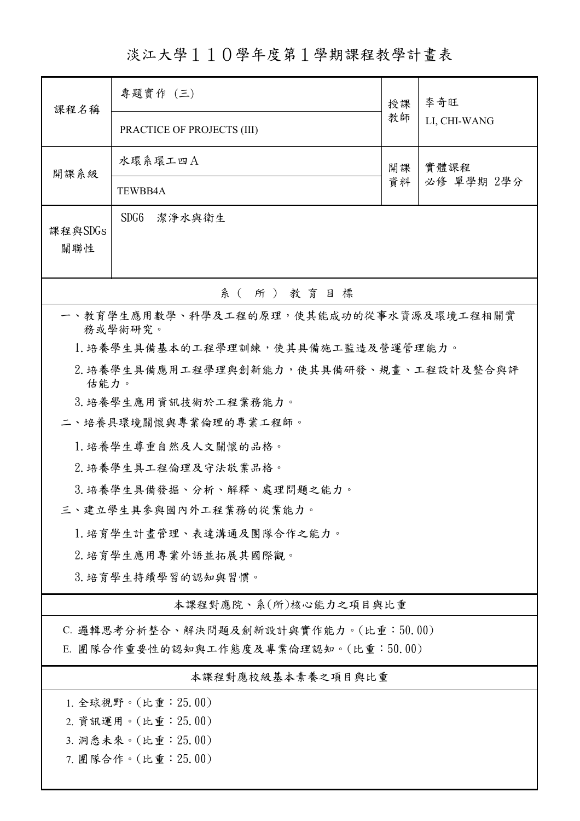淡江大學110學年度第1學期課程教學計畫表

| 課程名稱                                               | 專題實作 (三)                            | 授課       | 李奇旺<br>LI, CHI-WANG |  |  |  |
|----------------------------------------------------|-------------------------------------|----------|---------------------|--|--|--|
|                                                    | PRACTICE OF PROJECTS (III)          | 教師       |                     |  |  |  |
| 開課系級                                               | 水環系環工四A                             | 開課<br>資料 | 實體課程<br>必修 單學期 2學分  |  |  |  |
|                                                    | TEWBB4A                             |          |                     |  |  |  |
| 課程與SDGs<br>關聯性                                     | SDG6<br>潔淨水與衛生                      |          |                     |  |  |  |
| 系 ( 所 ) 教育目標                                       |                                     |          |                     |  |  |  |
| 一、教育學生應用數學、科學及工程的原理,使其能成功的從事水資源及環境工程相關實<br>務或學術研究。 |                                     |          |                     |  |  |  |
|                                                    | 1. 培養學生具備基本的工程學理訓練,使其具備施工監造及營運管理能力。 |          |                     |  |  |  |
| 2. 培養學生具備應用工程學理與創新能力,使其具備研發、規畫、工程設計及整合與評<br>估能力。   |                                     |          |                     |  |  |  |
|                                                    | 3. 培養學生應用資訊技術於工程業務能力。               |          |                     |  |  |  |
|                                                    | 二、培養具環境關懷與專業倫理的專業工程師。               |          |                     |  |  |  |
|                                                    | 1. 培養學生尊重自然及人文關懷的品格。                |          |                     |  |  |  |
| 2. 培養學生具工程倫理及守法敬業品格。                               |                                     |          |                     |  |  |  |
|                                                    | 3.培養學生具備發掘、分析、解釋、處理問題之能力。           |          |                     |  |  |  |
| 三、建立學生具參與國內外工程業務的從業能力。                             |                                     |          |                     |  |  |  |
| 1. 培育學生計畫管理、表達溝通及團隊合作之能力。                          |                                     |          |                     |  |  |  |
| 2. 培育學生應用專業外語並拓展其國際觀。                              |                                     |          |                     |  |  |  |
| 3.培育學生持續學習的認知與習慣。                                  |                                     |          |                     |  |  |  |
| 本課程對應院、系(所)核心能力之項目與比重                              |                                     |          |                     |  |  |  |
| C. 邏輯思考分析整合、解決問題及創新設計與實作能力。(比重:50.00)              |                                     |          |                     |  |  |  |
| E. 團隊合作重要性的認知與工作態度及專業倫理認知。(比重:50.00)               |                                     |          |                     |  |  |  |
| 本課程對應校級基本素養之項目與比重                                  |                                     |          |                     |  |  |  |
| 1. 全球視野。(比重:25.00)                                 |                                     |          |                     |  |  |  |
| 2. 資訊運用。(比重: 25.00)                                |                                     |          |                     |  |  |  |
| 3. 洞悉未來。(比重: 25.00)                                |                                     |          |                     |  |  |  |
| 7. 團隊合作。(比重:25.00)                                 |                                     |          |                     |  |  |  |

I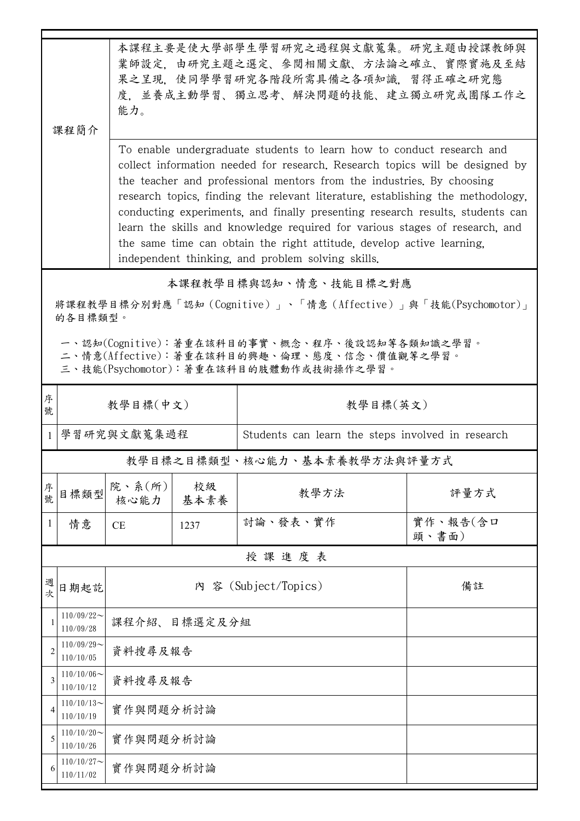|                                                                                                                                        | 课程简介                          | 本課程主要是使大學部學生學習研究之過程與文獻蒐集。研究主題由授課教師與<br>業師設定,由研究主題之選定、參閱相關文獻、方法論之確立、實際實施及至結<br>果之呈現,使同學學習研究各階段所需具備之各項知識,習得正確之研究態<br>度,並養成主動學習、獨立思考、解決問題的技能、建立獨立研究或團隊工作之<br>能力。<br>To enable undergraduate students to learn how to conduct research and<br>collect information needed for research. Research topics will be designed by<br>the teacher and professional mentors from the industries. By choosing<br>research topics, finding the relevant literature, establishing the methodology,<br>conducting experiments, and finally presenting research results, students can<br>learn the skills and knowledge required for various stages of research, and<br>the same time can obtain the right attitude, develop active learning, |            |                                                   |                   |  |  |
|----------------------------------------------------------------------------------------------------------------------------------------|-------------------------------|-----------------------------------------------------------------------------------------------------------------------------------------------------------------------------------------------------------------------------------------------------------------------------------------------------------------------------------------------------------------------------------------------------------------------------------------------------------------------------------------------------------------------------------------------------------------------------------------------------------------------------------------------------------------------------------------------------------------------------|------------|---------------------------------------------------|-------------------|--|--|
| independent thinking, and problem solving skills.                                                                                      |                               |                                                                                                                                                                                                                                                                                                                                                                                                                                                                                                                                                                                                                                                                                                                             |            |                                                   |                   |  |  |
| 本課程教學目標與認知、情意、技能目標之對應<br>將課程教學目標分別對應「認知 (Cognitive)」、「情意 (Affective)」與「技能(Psychomotor)」                                                |                               |                                                                                                                                                                                                                                                                                                                                                                                                                                                                                                                                                                                                                                                                                                                             |            |                                                   |                   |  |  |
|                                                                                                                                        | 的各目標類型。                       |                                                                                                                                                                                                                                                                                                                                                                                                                                                                                                                                                                                                                                                                                                                             |            |                                                   |                   |  |  |
| 一、認知(Cognitive):著重在該科目的事實、概念、程序、後設認知等各類知識之學習。<br>二、情意(Affective):著重在該科目的興趣、倫理、態度、信念、價值觀等之學習。<br>三、技能(Psychomotor):著重在該科目的肢體動作或技術操作之學習。 |                               |                                                                                                                                                                                                                                                                                                                                                                                                                                                                                                                                                                                                                                                                                                                             |            |                                                   |                   |  |  |
| 序<br>號                                                                                                                                 |                               | 教學目標(中文)                                                                                                                                                                                                                                                                                                                                                                                                                                                                                                                                                                                                                                                                                                                    |            | 教學目標(英文)                                          |                   |  |  |
| 1                                                                                                                                      | 學習研究與文獻蒐集過程                   |                                                                                                                                                                                                                                                                                                                                                                                                                                                                                                                                                                                                                                                                                                                             |            | Students can learn the steps involved in research |                   |  |  |
| 教學目標之目標類型、核心能力、基本素養教學方法與評量方式                                                                                                           |                               |                                                                                                                                                                                                                                                                                                                                                                                                                                                                                                                                                                                                                                                                                                                             |            |                                                   |                   |  |  |
| 序號                                                                                                                                     | 目標類型                          | 院、系(所)<br>核心能力                                                                                                                                                                                                                                                                                                                                                                                                                                                                                                                                                                                                                                                                                                              | 校級<br>基本素養 | 教學方法                                              | 評量方式              |  |  |
| 1                                                                                                                                      | 情意                            | CE                                                                                                                                                                                                                                                                                                                                                                                                                                                                                                                                                                                                                                                                                                                          | 1237       | 討論、發表、實作                                          | 實作、報告(含口<br>頭、書面) |  |  |
|                                                                                                                                        | 授課進度表                         |                                                                                                                                                                                                                                                                                                                                                                                                                                                                                                                                                                                                                                                                                                                             |            |                                                   |                   |  |  |
| 週<br>次                                                                                                                                 | 日期起訖                          | 內 容 (Subject/Topics)<br>備註                                                                                                                                                                                                                                                                                                                                                                                                                                                                                                                                                                                                                                                                                                  |            |                                                   |                   |  |  |
|                                                                                                                                        | $110/09/22$ ~<br>110/09/28    | 課程介紹、                                                                                                                                                                                                                                                                                                                                                                                                                                                                                                                                                                                                                                                                                                                       | 目標選定及分組    |                                                   |                   |  |  |
| 2                                                                                                                                      | $110/09/29$ ~<br>110/10/05    |                                                                                                                                                                                                                                                                                                                                                                                                                                                                                                                                                                                                                                                                                                                             | 資料搜尋及報告    |                                                   |                   |  |  |
| 3                                                                                                                                      | $110/10/06 \sim$<br>110/10/12 |                                                                                                                                                                                                                                                                                                                                                                                                                                                                                                                                                                                                                                                                                                                             | 資料搜尋及報告    |                                                   |                   |  |  |
| 4                                                                                                                                      | $110/10/13$ ~<br>110/10/19    |                                                                                                                                                                                                                                                                                                                                                                                                                                                                                                                                                                                                                                                                                                                             | 實作與問題分析討論  |                                                   |                   |  |  |
| 5                                                                                                                                      | $110/10/20$ ~<br>110/10/26    | 實作與問題分析討論                                                                                                                                                                                                                                                                                                                                                                                                                                                                                                                                                                                                                                                                                                                   |            |                                                   |                   |  |  |
| 6                                                                                                                                      | $110/10/27$ ~<br>110/11/02    | 實作與問題分析討論                                                                                                                                                                                                                                                                                                                                                                                                                                                                                                                                                                                                                                                                                                                   |            |                                                   |                   |  |  |